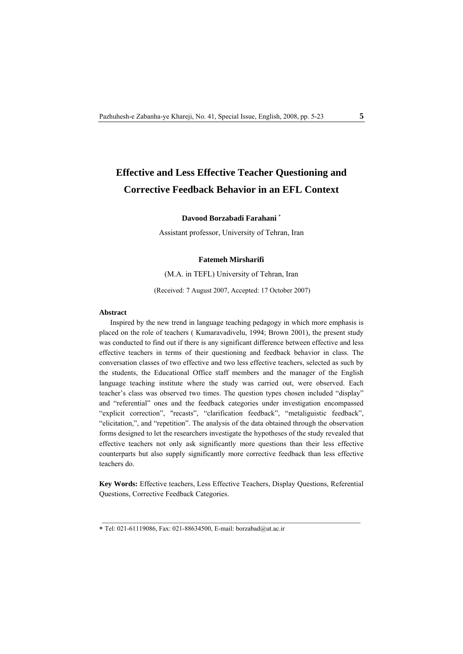# **Effective and Less Effective Teacher Questioning and Corrective Feedback Behavior in an EFL Context**

## **Davood Borzabadi Farahani** <sup>∗</sup>

Assistant professor, University of Tehran, Iran

### **Fatemeh Mirsharifi**

#### (M.A. in TEFL) University of Tehran, Iran

(Received: 7 August 2007, Accepted: 17 October 2007)

#### Abstract

Inspired by the new trend in language teaching pedagogy in which more emphasis is placed on the role of teachers ( Kumaravadivelu, 1994; Brown 2001), the present study was conducted to find out if there is any significant difference between effective and less effective teachers in terms of their questioning and feedback behavior in class. The conversation classes of two effective and two less effective teachers, selected as such by the students, the Educational Office staff members and the manager of the English language teaching institute where the study was carried out, were observed. Each teacher's class was observed two times. The question types chosen included "display" and "referential" ones and the feedback categories under investigation encompassed "explicit correction", "recasts", "clarification feedback", "metaliguistic feedback", "elicitation,", and "repetition". The analysis of the data obtained through the observation forms designed to let the researchers investigate the hypotheses of the study revealed that effective teachers not only ask significantly more questions than their less effective counterparts but also supply significantly more corrective feedback than less effective teachers do.

**Key Words:** Effective teachers, Less Effective Teachers, Display Questions, Referential Questions, Corrective Feedback Categories.

<sup>∗</sup> Tel: 021-61119086, Fax: 021-88634500, E-mail: borzabad@ut.ac.ir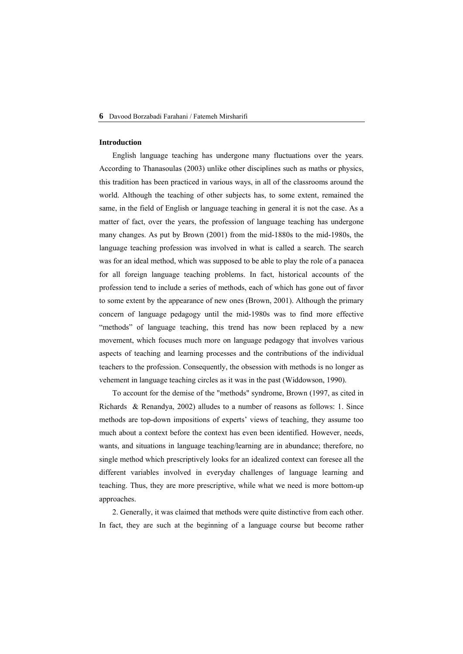#### **Introduction**

English language teaching has undergone many fluctuations over the years. According to Thanasoulas (2003) unlike other disciplines such as maths or physics, this tradition has been practiced in various ways, in all of the classrooms around the world. Although the teaching of other subjects has, to some extent, remained the same, in the field of English or language teaching in general it is not the case. As a matter of fact, over the years, the profession of language teaching has undergone many changes. As put by Brown (2001) from the mid-1880s to the mid-1980s, the language teaching profession was involved in what is called a search. The search was for an ideal method, which was supposed to be able to play the role of a panacea for all foreign language teaching problems. In fact, historical accounts of the profession tend to include a series of methods, each of which has gone out of favor to some extent by the appearance of new ones (Brown, 2001). Although the primary concern of language pedagogy until the mid-1980s was to find more effective "methods" of language teaching, this trend has now been replaced by a new movement, which focuses much more on language pedagogy that involves various aspects of teaching and learning processes and the contributions of the individual teachers to the profession. Consequently, the obsession with methods is no longer as vehement in language teaching circles as it was in the past (Widdowson, 1990).

To account for the demise of the "methods" syndrome, Brown (1997, as cited in Richards & Renandya, 2002) alludes to a number of reasons as follows: 1. Since methods are top-down impositions of experts' views of teaching, they assume too much about a context before the context has even been identified. However, needs, wants, and situations in language teaching/learning are in abundance; therefore, no single method which prescriptively looks for an idealized context can foresee all the different variables involved in everyday challenges of language learning and teaching. Thus, they are more prescriptive, while what we need is more bottom-up approaches.

2. Generally, it was claimed that methods were quite distinctive from each other. In fact, they are such at the beginning of a language course but become rather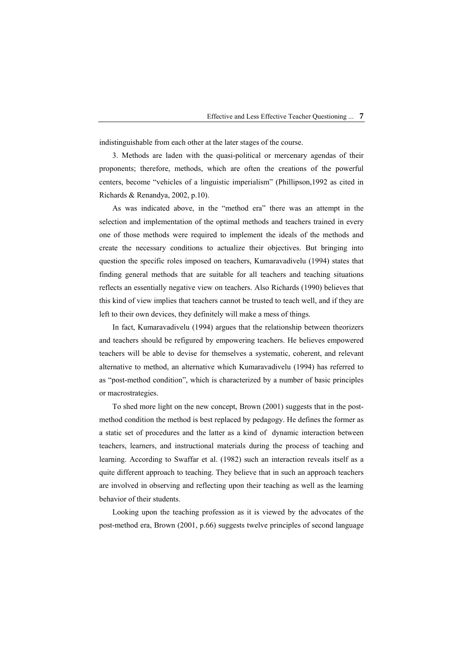indistinguishable from each other at the later stages of the course.

3. Methods are laden with the quasi-political or mercenary agendas of their proponents; therefore, methods, which are often the creations of the powerful centers, become "vehicles of a linguistic imperialism" (Phillipson,1992 as cited in Richards & Renandya, 2002, p.10).

As was indicated above, in the "method era" there was an attempt in the selection and implementation of the optimal methods and teachers trained in every one of those methods were required to implement the ideals of the methods and create the necessary conditions to actualize their objectives. But bringing into question the specific roles imposed on teachers, Kumaravadivelu (1994) states that finding general methods that are suitable for all teachers and teaching situations reflects an essentially negative view on teachers. Also Richards (1990) believes that this kind of view implies that teachers cannot be trusted to teach well, and if they are left to their own devices, they definitely will make a mess of things.

In fact, Kumaravadivelu (1994) argues that the relationship between theorizers and teachers should be refigured by empowering teachers. He believes empowered teachers will be able to devise for themselves a systematic, coherent, and relevant alternative to method, an alternative which Kumaravadivelu (1994) has referred to as "post-method condition", which is characterized by a number of basic principles or macrostrategies.

To shed more light on the new concept, Brown (2001) suggests that in the postmethod condition the method is best replaced by pedagogy. He defines the former as a static set of procedures and the latter as a kind of dynamic interaction between teachers, learners, and instructional materials during the process of teaching and learning. According to Swaffar et al. (1982) such an interaction reveals itself as a quite different approach to teaching. They believe that in such an approach teachers are involved in observing and reflecting upon their teaching as well as the learning behavior of their students.

Looking upon the teaching profession as it is viewed by the advocates of the post-method era, Brown (2001, p.66) suggests twelve principles of second language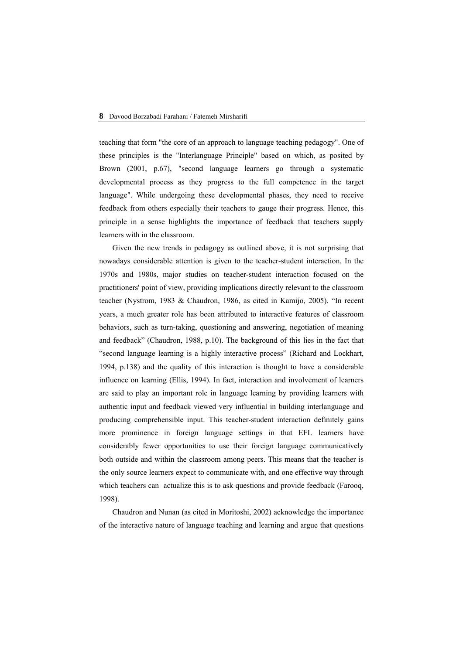teaching that form "the core of an approach to language teaching pedagogy". One of these principles is the "Interlanguage Principle" based on which, as posited by Brown (2001, p.67), "second language learners go through a systematic developmental process as they progress to the full competence in the target language". While undergoing these developmental phases, they need to receive feedback from others especially their teachers to gauge their progress. Hence, this principle in a sense highlights the importance of feedback that teachers supply learners with in the classroom.

Given the new trends in pedagogy as outlined above, it is not surprising that nowadays considerable attention is given to the teacher-student interaction. In the 1970s and 1980s, major studies on teacher-student interaction focused on the practitioners' point of view, providing implications directly relevant to the classroom teacher (Nystrom, 1983 & Chaudron, 1986, as cited in Kamijo, 2005). "In recent years, a much greater role has been attributed to interactive features of classroom behaviors, such as turn-taking, questioning and answering, negotiation of meaning and feedback" (Chaudron, 1988, p.10). The background of this lies in the fact that "second language learning is a highly interactive process" (Richard and Lockhart, 1994, p.138) and the quality of this interaction is thought to have a considerable influence on learning (Ellis, 1994). In fact, interaction and involvement of learners are said to play an important role in language learning by providing learners with authentic input and feedback viewed very influential in building interlanguage and producing comprehensible input. This teacher-student interaction definitely gains more prominence in foreign language settings in that EFL learners have considerably fewer opportunities to use their foreign language communicatively both outside and within the classroom among peers. This means that the teacher is the only source learners expect to communicate with, and one effective way through which teachers can actualize this is to ask questions and provide feedback (Farooq, 1998).

Chaudron and Nunan (as cited in Moritoshi, 2002) acknowledge the importance of the interactive nature of language teaching and learning and argue that questions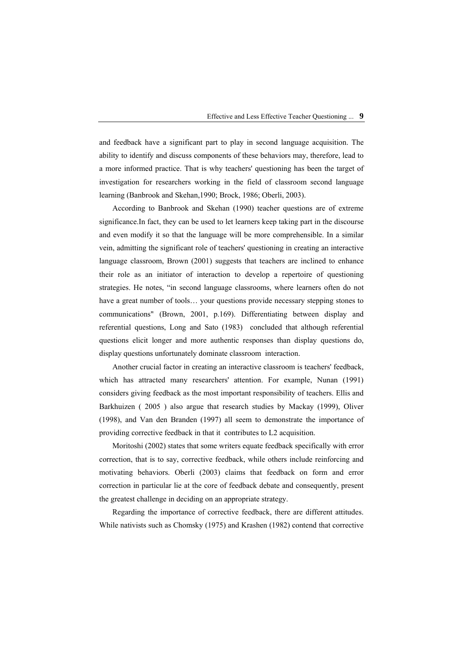and feedback have a significant part to play in second language acquisition. The ability to identify and discuss components of these behaviors may, therefore, lead to a more informed practice. That is why teachers' questioning has been the target of investigation for researchers working in the field of classroom second language learning (Banbrook and Skehan,1990; Brock, 1986; Oberli, 2003).

According to Banbrook and Skehan (1990) teacher questions are of extreme significance.In fact, they can be used to let learners keep taking part in the discourse and even modify it so that the language will be more comprehensible. In a similar vein, admitting the significant role of teachers' questioning in creating an interactive language classroom, Brown (2001) suggests that teachers are inclined to enhance their role as an initiator of interaction to develop a repertoire of questioning strategies. He notes, "in second language classrooms, where learners often do not have a great number of tools... your questions provide necessary stepping stones to communications" (Brown, 2001, p.169). Differentiating between display and referential questions, Long and Sato (1983) concluded that although referential questions elicit longer and more authentic responses than display questions do, display questions unfortunately dominate classroom interaction.

Another crucial factor in creating an interactive classroom is teachers' feedback, which has attracted many researchers' attention. For example, Nunan (1991) considers giving feedback as the most important responsibility of teachers. Ellis and Barkhuizen ( 2005 ) also argue that research studies by Mackay (1999), Oliver (1998), and Van den Branden (1997) all seem to demonstrate the importance of providing corrective feedback in that it contributes to L2 acquisition.

Moritoshi (2002) states that some writers equate feedback specifically with error correction, that is to say, corrective feedback, while others include reinforcing and motivating behaviors. Oberli (2003) claims that feedback on form and error correction in particular lie at the core of feedback debate and consequently, present the greatest challenge in deciding on an appropriate strategy.

Regarding the importance of corrective feedback, there are different attitudes. While nativists such as Chomsky (1975) and Krashen (1982) contend that corrective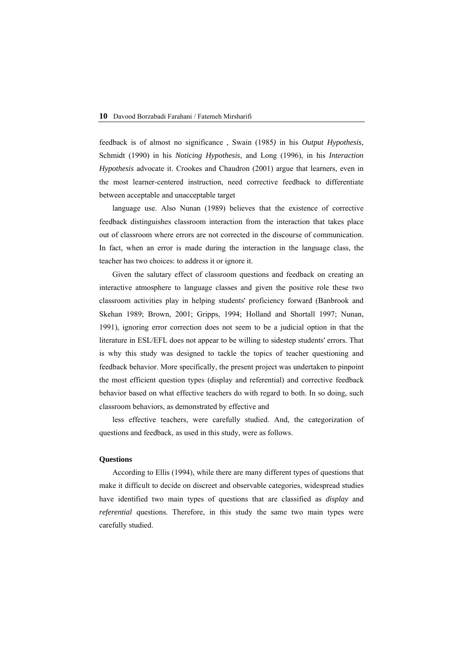feedback is of almost no significance , Swain (1985*)* in his *Output Hypothesis*, Schmidt (1990) in his *Noticing Hypothesis*, and Long (1996), in his *Interaction Hypothesis* advocate it. Crookes and Chaudron (2001) argue that learners, even in the most learner-centered instruction, need corrective feedback to differentiate between acceptable and unacceptable target

language use. Also Nunan (1989) believes that the existence of corrective feedback distinguishes classroom interaction from the interaction that takes place out of classroom where errors are not corrected in the discourse of communication. In fact, when an error is made during the interaction in the language class, the teacher has two choices: to address it or ignore it.

Given the salutary effect of classroom questions and feedback on creating an interactive atmosphere to language classes and given the positive role these two classroom activities play in helping students' proficiency forward (Banbrook and Skehan 1989; Brown, 2001; Gripps, 1994; Holland and Shortall 1997; Nunan, 1991), ignoring error correction does not seem to be a judicial option in that the literature in ESL/EFL does not appear to be willing to sidestep students' errors. That is why this study was designed to tackle the topics of teacher questioning and feedback behavior. More specifically, the present project was undertaken to pinpoint the most efficient question types (display and referential) and corrective feedback behavior based on what effective teachers do with regard to both. In so doing, such classroom behaviors, as demonstrated by effective and

less effective teachers, were carefully studied. And, the categorization of questions and feedback, as used in this study, were as follows.

#### **Questions**

According to Ellis (1994), while there are many different types of questions that make it difficult to decide on discreet and observable categories, widespread studies have identified two main types of questions that are classified as *display* and *referential* questions. Therefore, in this study the same two main types were carefully studied.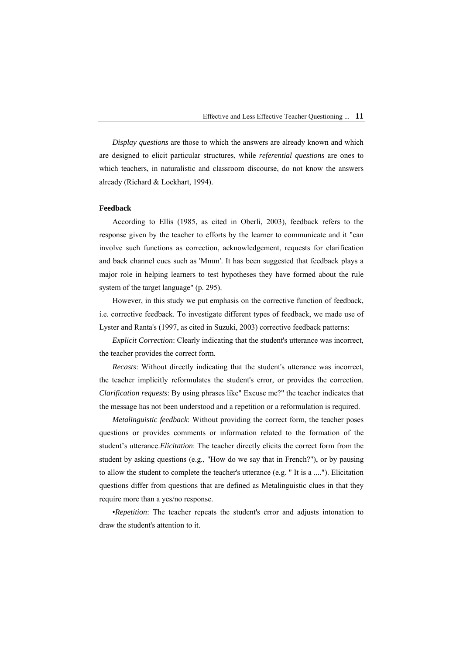*Display questions* are those to which the answers are already known and which are designed to elicit particular structures, while *referential questions* are ones to which teachers, in naturalistic and classroom discourse, do not know the answers already (Richard & Lockhart, 1994).

### **Feedback**

According to Ellis (1985, as cited in Oberli, 2003), feedback refers to the response given by the teacher to efforts by the learner to communicate and it "can involve such functions as correction, acknowledgement, requests for clarification and back channel cues such as 'Mmm'. It has been suggested that feedback plays a major role in helping learners to test hypotheses they have formed about the rule system of the target language" (p. 295).

However, in this study we put emphasis on the corrective function of feedback, i.e. corrective feedback. To investigate different types of feedback, we made use of Lyster and Ranta's (1997, as cited in Suzuki, 2003) corrective feedback patterns:

*Explicit Correction*: Clearly indicating that the student's utterance was incorrect, the teacher provides the correct form.

*Recasts*: Without directly indicating that the student's utterance was incorrect, the teacher implicitly reformulates the student's error, or provides the correction. *Clarification requests*: By using phrases like" Excuse me?" the teacher indicates that the message has not been understood and a repetition or a reformulation is required.

*Metalinguistic feedback*: Without providing the correct form, the teacher poses questions or provides comments or information related to the formation of the student's utterance.*Elicitation*: The teacher directly elicits the correct form from the student by asking questions (e.g., "How do we say that in French?"), or by pausing to allow the student to complete the teacher's utterance (e.g. " It is a ...."). Elicitation questions differ from questions that are defined as Metalinguistic clues in that they require more than a yes/no response.

•*Repetition*: The teacher repeats the student's error and adjusts intonation to draw the student's attention to it.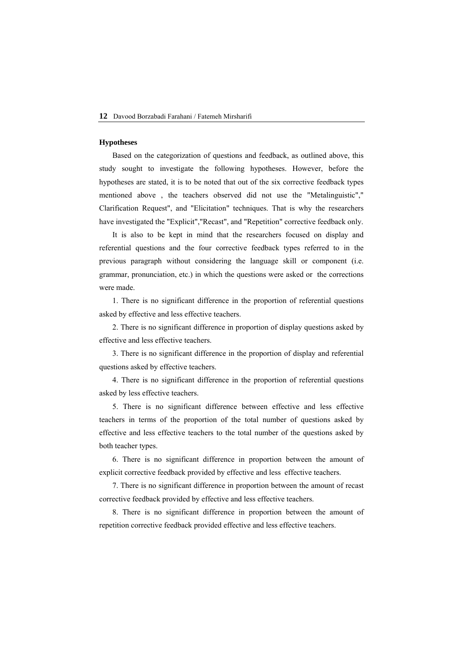#### **Hypotheses**

Based on the categorization of questions and feedback, as outlined above, this study sought to investigate the following hypotheses. However, before the hypotheses are stated, it is to be noted that out of the six corrective feedback types mentioned above , the teachers observed did not use the "Metalinguistic"," Clarification Request", and "Elicitation" techniques. That is why the researchers have investigated the "Explicit","Recast", and "Repetition" corrective feedback only.

It is also to be kept in mind that the researchers focused on display and referential questions and the four corrective feedback types referred to in the previous paragraph without considering the language skill or component (i.e. grammar, pronunciation, etc.) in which the questions were asked or the corrections were made.

1. There is no significant difference in the proportion of referential questions asked by effective and less effective teachers.

2. There is no significant difference in proportion of display questions asked by effective and less effective teachers.

3. There is no significant difference in the proportion of display and referential questions asked by effective teachers.

4. There is no significant difference in the proportion of referential questions asked by less effective teachers.

5. There is no significant difference between effective and less effective teachers in terms of the proportion of the total number of questions asked by effective and less effective teachers to the total number of the questions asked by both teacher types.

6. There is no significant difference in proportion between the amount of explicit corrective feedback provided by effective and less effective teachers.

7. There is no significant difference in proportion between the amount of recast corrective feedback provided by effective and less effective teachers.

8. There is no significant difference in proportion between the amount of repetition corrective feedback provided effective and less effective teachers.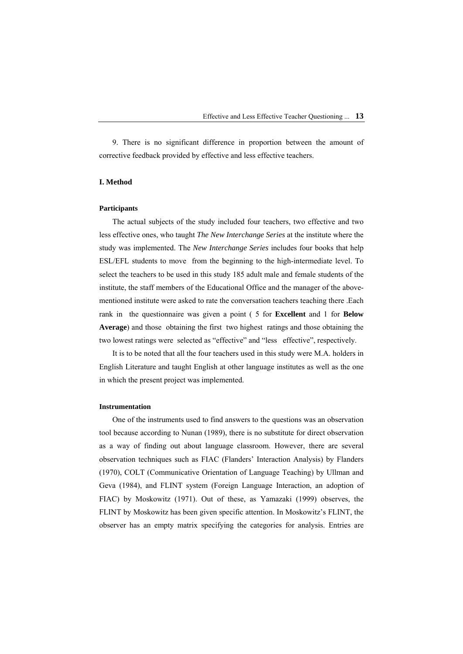9. There is no significant difference in proportion between the amount of corrective feedback provided by effective and less effective teachers.

## **I. Method**

#### **Participants**

The actual subjects of the study included four teachers, two effective and two less effective ones, who taught *The New Interchange Series* at the institute where the study was implemented. The *New Interchange Series* includes four books that help ESL/EFL students to move from the beginning to the high-intermediate level. To select the teachers to be used in this study 185 adult male and female students of the institute, the staff members of the Educational Office and the manager of the abovementioned institute were asked to rate the conversation teachers teaching there .Each rank in the questionnaire was given a point ( 5 for **Excellent** and 1 for **Below Average**) and those obtaining the first two highest ratings and those obtaining the two lowest ratings were selected as "effective" and "less effective", respectively.

It is to be noted that all the four teachers used in this study were M.A. holders in English Literature and taught English at other language institutes as well as the one in which the present project was implemented.

### **Instrumentation**

One of the instruments used to find answers to the questions was an observation tool because according to Nunan (1989), there is no substitute for direct observation as a way of finding out about language classroom. However, there are several observation techniques such as FIAC (Flanders' Interaction Analysis) by Flanders (1970), COLT (Communicative Orientation of Language Teaching) by Ullman and Geva (1984), and FLINT system (Foreign Language Interaction, an adoption of FIAC) by Moskowitz (1971). Out of these, as Yamazaki (1999) observes, the FLINT by Moskowitz has been given specific attention. In Moskowitz's FLINT, the observer has an empty matrix specifying the categories for analysis. Entries are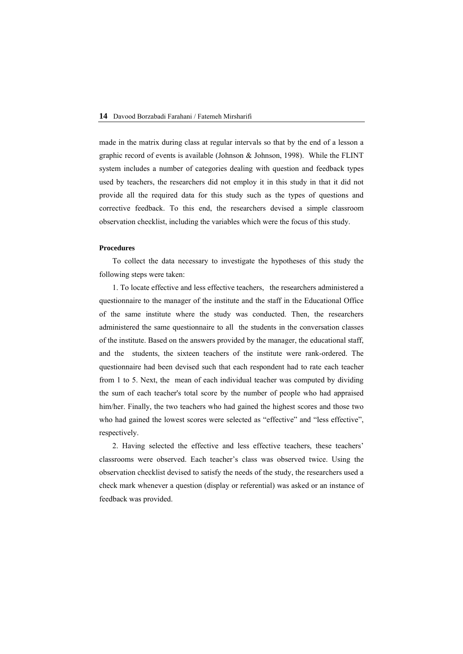made in the matrix during class at regular intervals so that by the end of a lesson a graphic record of events is available (Johnson & Johnson, 1998). While the FLINT system includes a number of categories dealing with question and feedback types used by teachers, the researchers did not employ it in this study in that it did not provide all the required data for this study such as the types of questions and corrective feedback. To this end, the researchers devised a simple classroom observation checklist, including the variables which were the focus of this study.

#### **Procedures**

To collect the data necessary to investigate the hypotheses of this study the following steps were taken:

1. To locate effective and less effective teachers, the researchers administered a questionnaire to the manager of the institute and the staff in the Educational Office of the same institute where the study was conducted. Then, the researchers administered the same questionnaire to all the students in the conversation classes of the institute. Based on the answers provided by the manager, the educational staff, and the students, the sixteen teachers of the institute were rank-ordered. The questionnaire had been devised such that each respondent had to rate each teacher from 1 to 5. Next, the mean of each individual teacher was computed by dividing the sum of each teacher's total score by the number of people who had appraised him/her. Finally, the two teachers who had gained the highest scores and those two who had gained the lowest scores were selected as "effective" and "less effective", respectively.

2. Having selected the effective and less effective teachers, these teachers' classrooms were observed. Each teacher's class was observed twice. Using the observation checklist devised to satisfy the needs of the study, the researchers used a check mark whenever a question (display or referential) was asked or an instance of feedback was provided.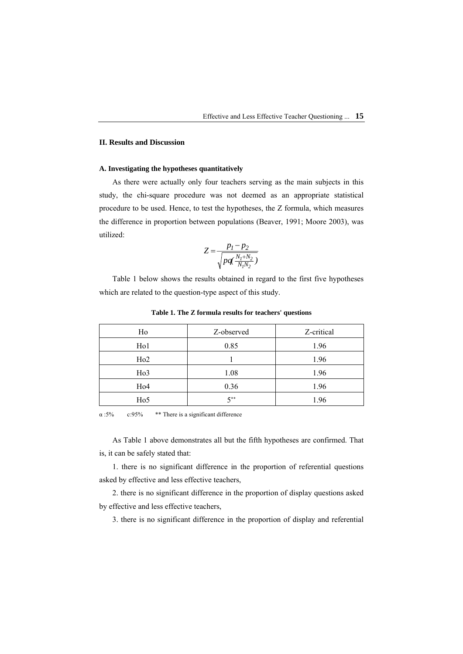## **II. Results and Discussion**

### **A. Investigating the hypotheses quantitatively**

As there were actually only four teachers serving as the main subjects in this study, the chi-square procedure was not deemed as an appropriate statistical procedure to be used. Hence, to test the hypotheses, the Z formula, which measures the difference in proportion between populations (Beaver, 1991; Moore 2003), was utilized:

$$
Z = \frac{p_1 - p_2}{\sqrt{pq(\frac{N_1 + N_2}{N_1 N_2})}}
$$

Table 1 below shows the results obtained in regard to the first five hypotheses which are related to the question-type aspect of this study.

| Ho               | Z-observed | Z-critical |
|------------------|------------|------------|
| H <sub>o</sub> 1 | 0.85       | 1.96       |
| H <sub>o</sub> 2 |            | 1.96       |
| H <sub>o</sub> 3 | 1.08       | 1.96       |
| H <sub>o</sub> 4 | 0.36       | 1.96       |
| H <sub>0</sub> 5 | $5***$     | 1.96       |

**Table 1. The Z formula results for teachers' questions** 

 $\alpha$  :5% c:95% \*\* There is a significant difference

As Table 1 above demonstrates all but the fifth hypotheses are confirmed. That is, it can be safely stated that:

1. there is no significant difference in the proportion of referential questions asked by effective and less effective teachers,

2. there is no significant difference in the proportion of display questions asked by effective and less effective teachers,

3. there is no significant difference in the proportion of display and referential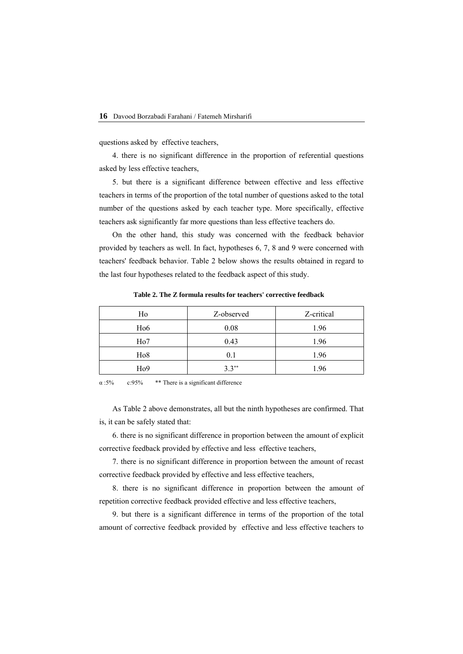questions asked by effective teachers,

4. there is no significant difference in the proportion of referential questions asked by less effective teachers,

5. but there is a significant difference between effective and less effective teachers in terms of the proportion of the total number of questions asked to the total number of the questions asked by each teacher type. More specifically, effective teachers ask significantly far more questions than less effective teachers do.

On the other hand, this study was concerned with the feedback behavior provided by teachers as well. In fact, hypotheses 6, 7, 8 and 9 were concerned with teachers' feedback behavior. Table 2 below shows the results obtained in regard to the last four hypotheses related to the feedback aspect of this study.

| Ho               | Z-observed | Z-critical |
|------------------|------------|------------|
| H <sub>0</sub> 6 | 0.08       | 1.96       |
| H <sub>o</sub> 7 | 0.43       | 1.96       |
| H <sub>o</sub> 8 | 0.1        | 1.96       |
| H <sub>0</sub> 9 | $3.3**$    | 1.96       |

**Table 2. The Z formula results for teachers' corrective feedback** 

 $\alpha$  :5% c:95% \*\* There is a significant difference

As Table 2 above demonstrates, all but the ninth hypotheses are confirmed. That is, it can be safely stated that:

6. there is no significant difference in proportion between the amount of explicit corrective feedback provided by effective and less effective teachers,

7. there is no significant difference in proportion between the amount of recast corrective feedback provided by effective and less effective teachers,

8. there is no significant difference in proportion between the amount of repetition corrective feedback provided effective and less effective teachers,

9. but there is a significant difference in terms of the proportion of the total amount of corrective feedback provided by effective and less effective teachers to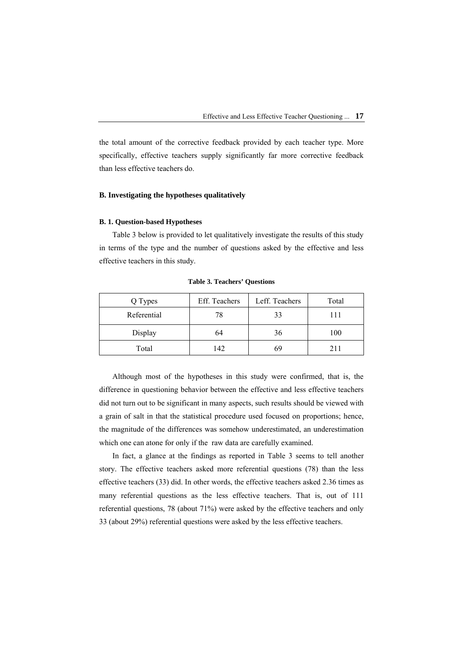the total amount of the corrective feedback provided by each teacher type. More specifically, effective teachers supply significantly far more corrective feedback than less effective teachers do.

## **B. Investigating the hypotheses qualitatively**

#### **B. 1. Question-based Hypotheses**

Table 3 below is provided to let qualitatively investigate the results of this study in terms of the type and the number of questions asked by the effective and less effective teachers in this study.

| Q Types     | Eff. Teachers | Leff. Teachers | Total |
|-------------|---------------|----------------|-------|
| Referential | 78            | 33             | 111   |
| Display     | 64            | 36             | 100   |
| Total       | 142           | 69             | 211   |

**Table 3. Teachers' Questions** 

Although most of the hypotheses in this study were confirmed, that is, the difference in questioning behavior between the effective and less effective teachers did not turn out to be significant in many aspects, such results should be viewed with a grain of salt in that the statistical procedure used focused on proportions; hence, the magnitude of the differences was somehow underestimated, an underestimation which one can atone for only if the raw data are carefully examined.

In fact, a glance at the findings as reported in Table 3 seems to tell another story. The effective teachers asked more referential questions (78) than the less effective teachers (33) did. In other words, the effective teachers asked 2.36 times as many referential questions as the less effective teachers. That is, out of 111 referential questions, 78 (about 71%) were asked by the effective teachers and only 33 (about 29%) referential questions were asked by the less effective teachers.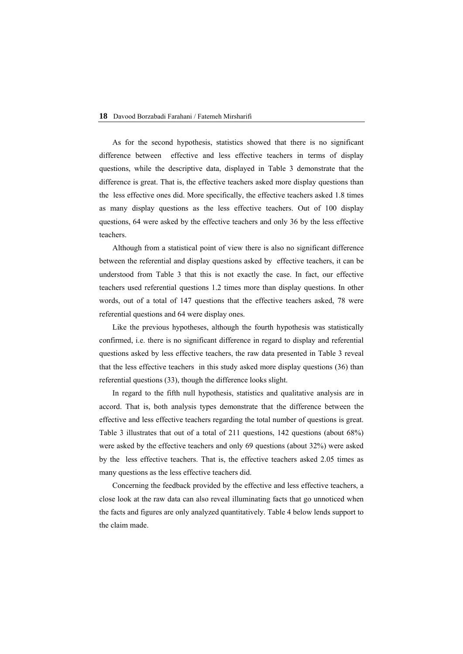As for the second hypothesis, statistics showed that there is no significant difference between effective and less effective teachers in terms of display questions, while the descriptive data, displayed in Table 3 demonstrate that the difference is great. That is, the effective teachers asked more display questions than the less effective ones did. More specifically, the effective teachers asked 1.8 times as many display questions as the less effective teachers. Out of 100 display questions, 64 were asked by the effective teachers and only 36 by the less effective teachers.

Although from a statistical point of view there is also no significant difference between the referential and display questions asked by effective teachers, it can be understood from Table 3 that this is not exactly the case. In fact, our effective teachers used referential questions 1.2 times more than display questions. In other words, out of a total of 147 questions that the effective teachers asked, 78 were referential questions and 64 were display ones.

Like the previous hypotheses, although the fourth hypothesis was statistically confirmed, i.e. there is no significant difference in regard to display and referential questions asked by less effective teachers, the raw data presented in Table 3 reveal that the less effective teachers in this study asked more display questions (36) than referential questions (33), though the difference looks slight.

In regard to the fifth null hypothesis, statistics and qualitative analysis are in accord. That is, both analysis types demonstrate that the difference between the effective and less effective teachers regarding the total number of questions is great. Table 3 illustrates that out of a total of 211 questions, 142 questions (about 68%) were asked by the effective teachers and only 69 questions (about 32%) were asked by the less effective teachers. That is, the effective teachers asked 2.05 times as many questions as the less effective teachers did.

Concerning the feedback provided by the effective and less effective teachers, a close look at the raw data can also reveal illuminating facts that go unnoticed when the facts and figures are only analyzed quantitatively. Table 4 below lends support to the claim made.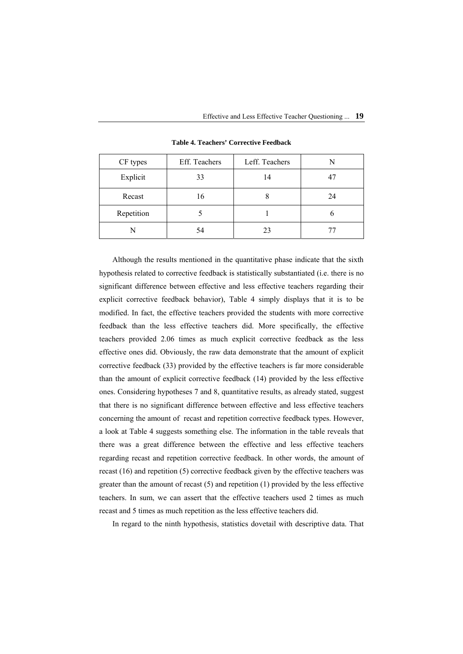| CF types   | Eff. Teachers | Leff. Teachers | N  |
|------------|---------------|----------------|----|
| Explicit   | 33            | 14             | 47 |
| Recast     | 16            | δ              | 24 |
| Repetition |               |                |    |
|            | 54            | 23             | r. |

**Table 4. Teachers' Corrective Feedback** 

Although the results mentioned in the quantitative phase indicate that the sixth hypothesis related to corrective feedback is statistically substantiated (i.e. there is no significant difference between effective and less effective teachers regarding their explicit corrective feedback behavior), Table 4 simply displays that it is to be modified. In fact, the effective teachers provided the students with more corrective feedback than the less effective teachers did. More specifically, the effective teachers provided 2.06 times as much explicit corrective feedback as the less effective ones did. Obviously, the raw data demonstrate that the amount of explicit corrective feedback (33) provided by the effective teachers is far more considerable than the amount of explicit corrective feedback (14) provided by the less effective ones. Considering hypotheses 7 and 8, quantitative results, as already stated, suggest that there is no significant difference between effective and less effective teachers concerning the amount of recast and repetition corrective feedback types. However, a look at Table 4 suggests something else. The information in the table reveals that there was a great difference between the effective and less effective teachers regarding recast and repetition corrective feedback. In other words, the amount of recast (16) and repetition (5) corrective feedback given by the effective teachers was greater than the amount of recast (5) and repetition (1) provided by the less effective teachers. In sum, we can assert that the effective teachers used 2 times as much recast and 5 times as much repetition as the less effective teachers did.

In regard to the ninth hypothesis, statistics dovetail with descriptive data. That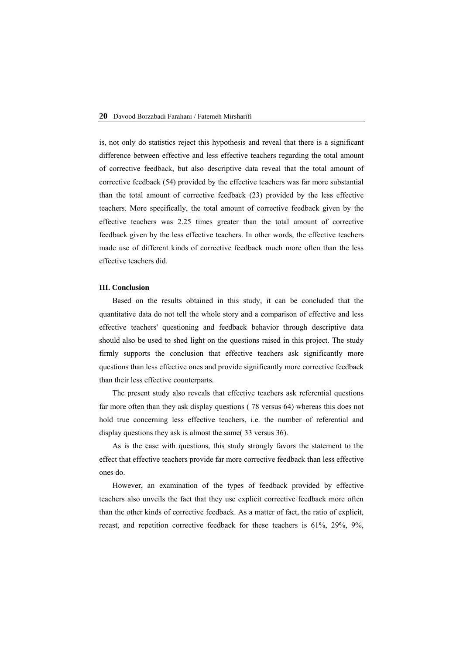is, not only do statistics reject this hypothesis and reveal that there is a significant difference between effective and less effective teachers regarding the total amount of corrective feedback, but also descriptive data reveal that the total amount of corrective feedback (54) provided by the effective teachers was far more substantial than the total amount of corrective feedback (23) provided by the less effective teachers. More specifically, the total amount of corrective feedback given by the effective teachers was 2.25 times greater than the total amount of corrective feedback given by the less effective teachers. In other words, the effective teachers made use of different kinds of corrective feedback much more often than the less effective teachers did.

#### **III. Conclusion**

Based on the results obtained in this study, it can be concluded that the quantitative data do not tell the whole story and a comparison of effective and less effective teachers' questioning and feedback behavior through descriptive data should also be used to shed light on the questions raised in this project. The study firmly supports the conclusion that effective teachers ask significantly more questions than less effective ones and provide significantly more corrective feedback than their less effective counterparts.

The present study also reveals that effective teachers ask referential questions far more often than they ask display questions ( 78 versus 64) whereas this does not hold true concerning less effective teachers, i.e. the number of referential and display questions they ask is almost the same( 33 versus 36).

As is the case with questions, this study strongly favors the statement to the effect that effective teachers provide far more corrective feedback than less effective ones do.

However, an examination of the types of feedback provided by effective teachers also unveils the fact that they use explicit corrective feedback more often than the other kinds of corrective feedback. As a matter of fact, the ratio of explicit, recast, and repetition corrective feedback for these teachers is 61%, 29%, 9%,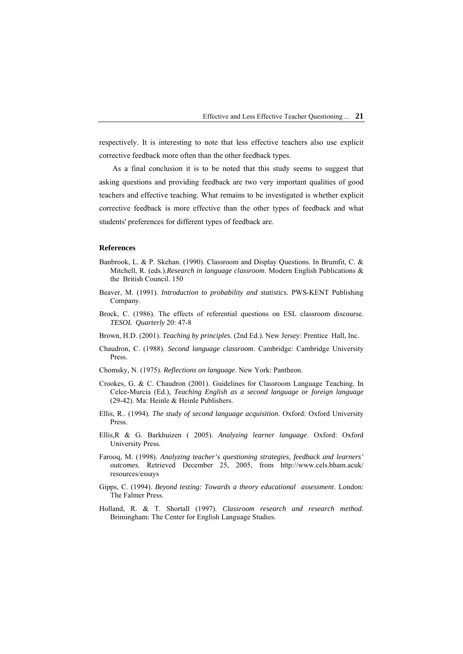respectively. It is interesting to note that less effective teachers also use explicit corrective feedback more often than the other feedback types.

As a final conclusion it is to be noted that this study seems to suggest that asking questions and providing feedback are two very important qualities of good teachers and effective teaching. What remains to be investigated is whether explicit corrective feedback is more effective than the other types of feedback and what students' preferences for different types of feedback are.

#### **References**

- Banbrook, L. & P. Skehan. (1990). Classroom and Display Questions. In Brumfit, C. & Mitchell, R. (eds.).*Research in language classroom*. Modern English Publications & the British Council. 150
- Beaver, M. (1991). *Introduction to probability and statistics.* PWS-KENT Publishing Company.
- Brock, C. (1986). The effects of referential questions on ESL classroom discourse. *TESOL Quarterly* 20: 47-8
- Brown, H.D. (2001). *Teaching by principles*. (2nd Ed.). New Jersey: Prentice Hall, Inc.
- Chaudron, C. (1988). *Second language classroom*. Cambridge: Cambridge University Press.
- Chomsky, N. (1975). *Reflections on language*. New York: Pantheon.
- Crookes, G. & C. Chaudron (2001). Guidelines for Classroom Language Teaching. In Celce-Murcia (Ed.), *Teaching English as a second language or foreign language* (29-42). Ma: Heinle & Heinle Publishers.
- Ellis, R.. (1994). *The study of second language acquisition*. Oxford: Oxford University Press.
- Ellis,R & G. Barkhuizen ( 2005). *Analyzing learner language*. Oxford: Oxford University Press.
- Farooq, M. (1998). *Analyzing teacher's questioning strategies, feedback and learners' outcomes.* Retrieved December 25, 2005, from http://www.cels.bham.acuk/ resources/essays
- Gipps, C. (1994). *Beyond testing: Towards a theory educational assessment*. London: The Falmer Press.
- Holland, R. & T. Shortall (1997). *Classroom research and research method*. Brimingham: The Center for English Language Studies.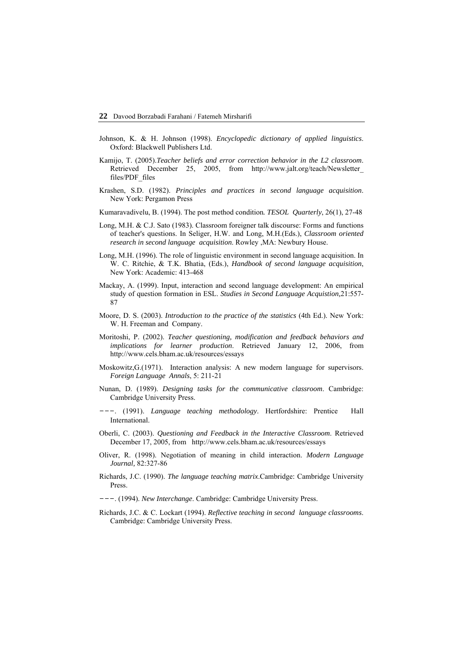- Johnson, K. & H. Johnson (1998). *Encyclopedic dictionary of applied linguistics*. Oxford: Blackwell Publishers Ltd.
- Kamijo, T. (2005).*Teacher beliefs and error correction behavior in the L2 classroom*. Retrieved December 25, 2005, from http://www.jalt.org/teach/Newsletter\_ files/PDF\_files
- Krashen, S.D. (1982). *Principles and practices in second language acquisition*. New York: Pergamon Press
- Kumaravadivelu, B. (1994). The post method condition*. TESOL Quarterly*, 26(1), 27-48
- Long, M.H. & C.J. Sato (1983). Classroom foreigner talk discourse: Forms and functions of teacher's questions. In Seliger, H.W. and Long, M.H.(Eds.), *Classroom oriented research in second language acquisition*. Rowley ,MA: Newbury House.
- Long, M.H. (1996). The role of linguistic environment in second language acquisition. In W. C. Ritchie, & T.K. Bhatia, (Eds.), *Handbook of second language acquisition*, New York: Academic: 413-468
- Mackay, A. (1999). Input, interaction and second language development: An empirical study of question formation in ESL. *Studies in Second Language Acquistion,*21:557- 87
- Moore, D. S. (2003). *Introduction to the practice of the statistics* (4th Ed.). New York: W. H. Freeman and Company.
- Moritoshi, P. (2002). *Teacher questioning, modification and feedback behaviors and implications for learner production*. Retrieved January 12, 2006, from http://www.cels.bham.ac.uk/resources/essays
- Moskowitz,G.(1971). Interaction analysis: A new modern language for supervisors. *Foreign Language Annals*, 5: 211-21
- Nunan, D. (1989). *Designing tasks for the communicative classroom*. Cambridge: Cambridge University Press.
- ---. (1991). *Language teaching methodology*. Hertfordshire: Prentice Hall International.
- Oberli, C. (2003). *Questioning and Feedback in the Interactive Classroom*. Retrieved December 17, 2005, from http://www.cels.bham.ac.uk/resources/essays
- Oliver, R. (1998). Negotiation of meaning in child interaction. *Modern Language Journal,* 82:327-86
- Richards, J.C. (1990). *The language teaching matrix*.Cambridge: Cambridge University Press.
- ---. (1994). *New Interchange*. Cambridge: Cambridge University Press.
- Richards, J.C. & C. Lockart (1994). *Reflective teaching in second language classrooms*. Cambridge: Cambridge University Press.